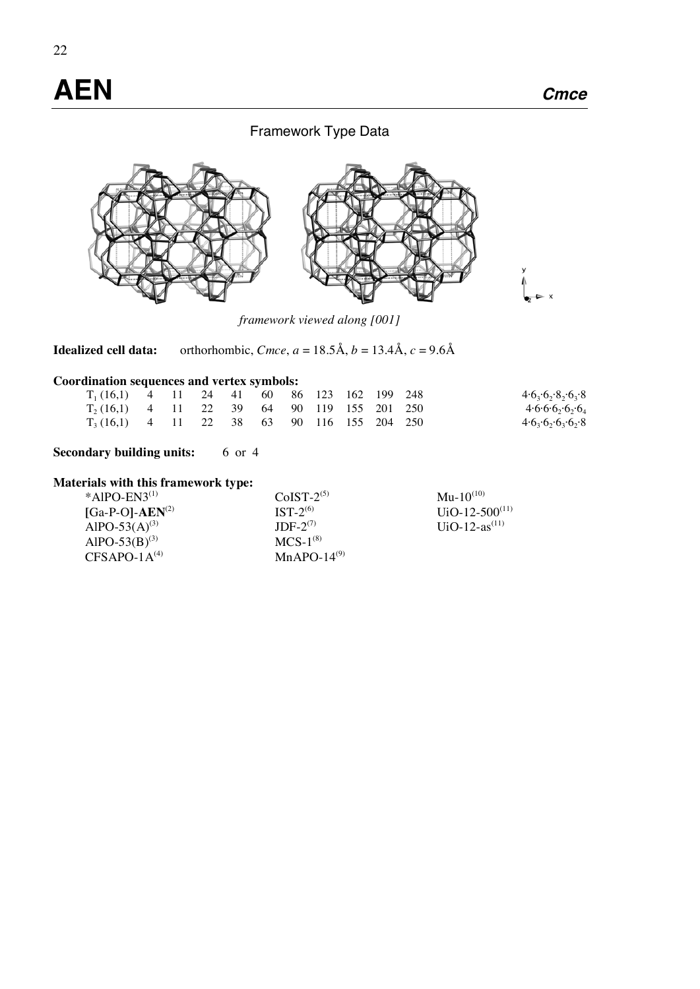# **AEN Cmce**

## Framework Type Data



*framework viewed along [001]* 

**Idealized cell data:** orthorhombic, *Cmce*,  $a = 18.5\text{\AA}$ ,  $b = 13.4\text{\AA}$ ,  $c = 9.6\text{\AA}$ 

## **Coordination sequences and vertex symbols:**

| $T_1(16,1)$ 4 11 24 41 60 86 123 162 199 248 |  |  |  |  |  | 4.6,6,8,6,8               |
|----------------------------------------------|--|--|--|--|--|---------------------------|
| $T_2(16,1)$ 4 11 22 39 64 90 119 155 201 250 |  |  |  |  |  | $4.6.6.6_{2}.6_{2}.6_{4}$ |
| $T_3(16,1)$ 4 11 22 38 63 90 116 155 204 250 |  |  |  |  |  | 4.6,6.6,6.8               |

## **Secondary building units:** 6 or 4

## **Materials with this framework type:**

| $CoIST-2(5)$  | $Mu-10^{(10)}$      |
|---------------|---------------------|
| $IST-2^{(6)}$ | $UiO-12-500^{(11)}$ |
| $IDE-2^{(7)}$ | $UiO-12-as^{(11)}$  |
| $MCS-1^{(8)}$ |                     |
| $MnAPO-14(9)$ |                     |
|               |                     |